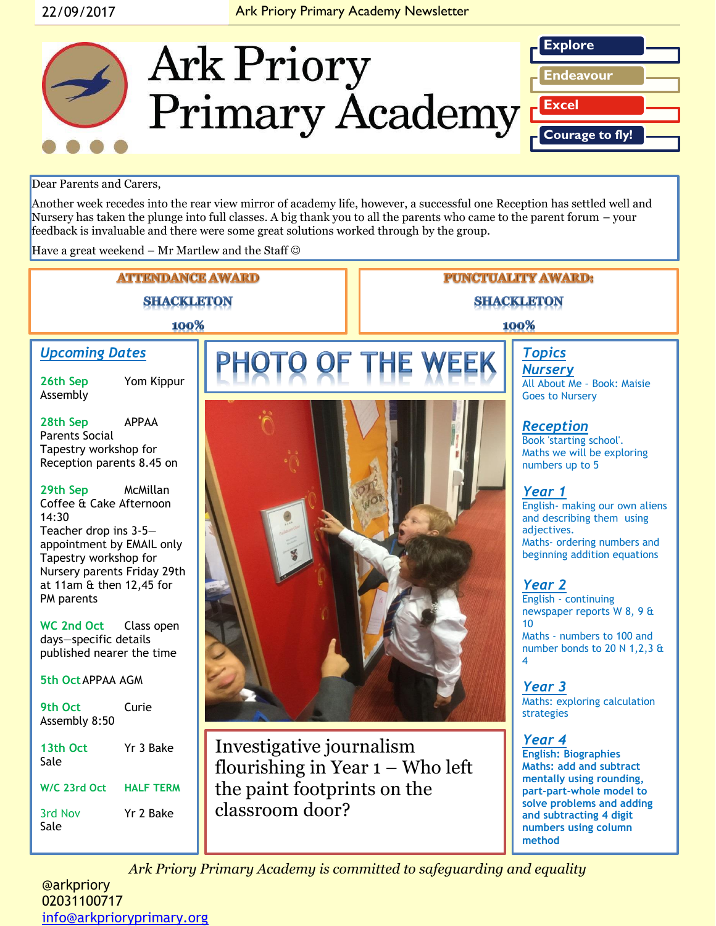### 22/09/2017 **Ark Priory Primary Academy Newsletter**



#### Dear Parents and Carers,

Another week recedes into the rear view mirror of academy life, however, a successful one Reception has settled well and Nursery has taken the plunge into full classes. A big thank you to all the parents who came to the parent forum – your feedback is invaluable and there were some great solutions worked through by the group.

Have a great weekend – Mr Martlew and the Staff  $\odot$ 



02031100717 [info@arkprioryprimary.org](mailto:info@arkprioryprimary.org)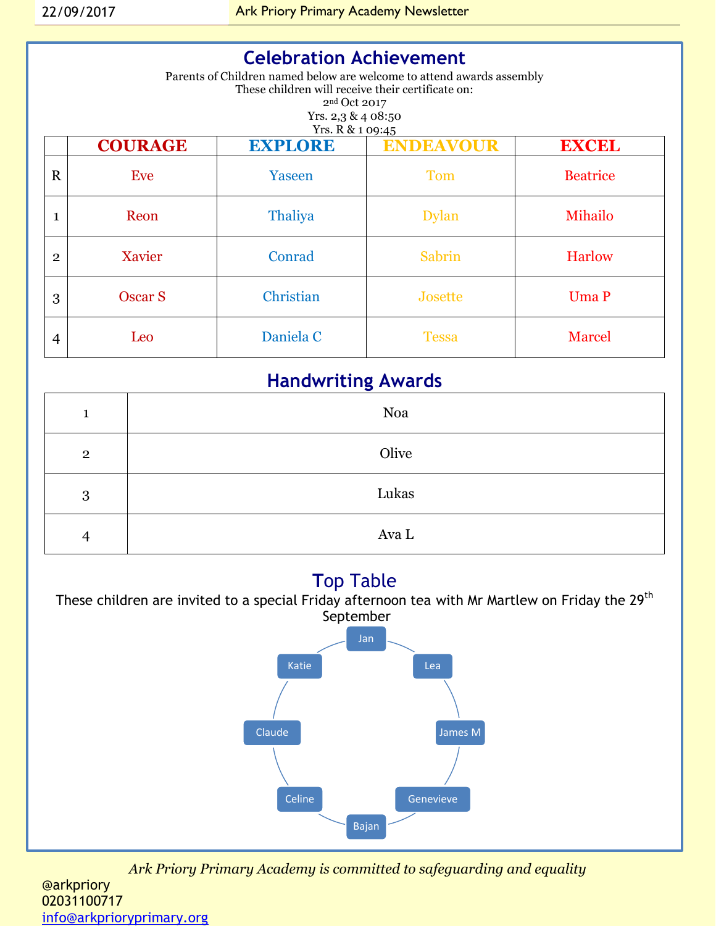| <b>Celebration Achievement</b><br>Parents of Children named below are welcome to attend awards assembly<br>These children will receive their certificate on:<br>2 <sup>nd</sup> Oct 2017<br>Yrs. 2,3 & 4 08:50<br>Yrs. R & 1 09:45 |                |                |                  |                 |  |
|------------------------------------------------------------------------------------------------------------------------------------------------------------------------------------------------------------------------------------|----------------|----------------|------------------|-----------------|--|
|                                                                                                                                                                                                                                    | <b>COURAGE</b> | <b>EXPLORE</b> | <b>ENDEAVOUR</b> | <b>EXCEL</b>    |  |
| $\mathbf R$                                                                                                                                                                                                                        | Eve            | Yaseen         | <b>Tom</b>       | <b>Beatrice</b> |  |
| 1                                                                                                                                                                                                                                  | Reon           | <b>Thaliya</b> | <b>Dylan</b>     | Mihailo         |  |
| $\mathbf{2}$                                                                                                                                                                                                                       | Xavier         | Conrad         | Sabrin           | <b>Harlow</b>   |  |
| 3                                                                                                                                                                                                                                  | <b>Oscar S</b> | Christian      | Josette          | Uma P           |  |
| 4                                                                                                                                                                                                                                  | Leo            | Daniela C      | <b>Tessa</b>     | <b>Marcel</b>   |  |

## **Handwriting Awards**

| 1              | Noa   |
|----------------|-------|
| $\overline{2}$ | Olive |
| 3              | Lukas |
| 4              | Ava L |

## **T**op Table



*Ark Priory Primary Academy is committed to safeguarding and equality* 

@arkpriory 02031100717 [info@arkprioryprimary.org](mailto:info@arkprioryprimary.org)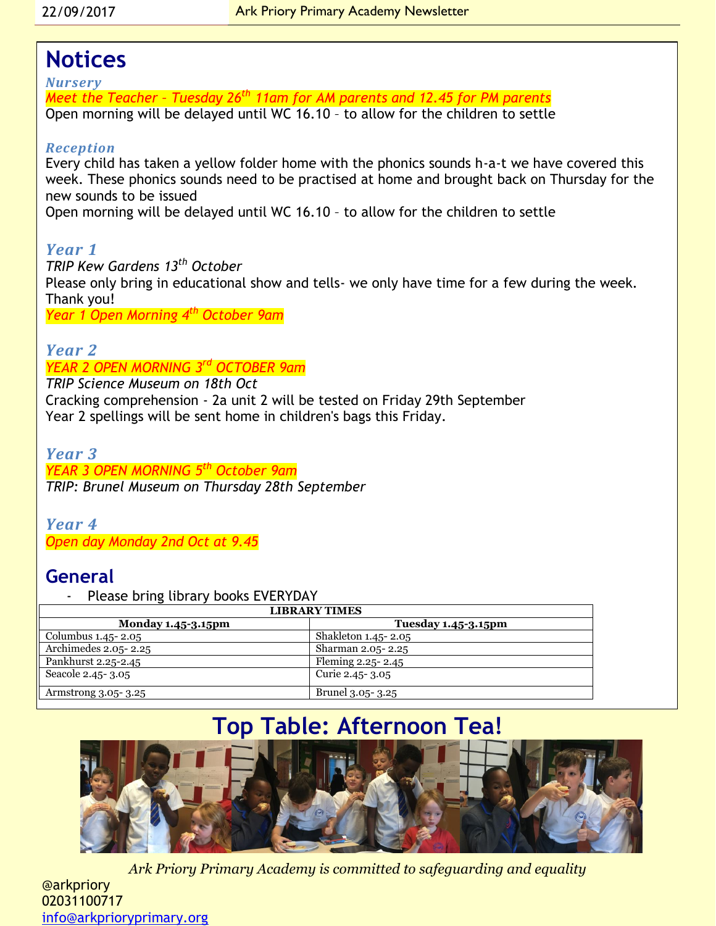## **Notices**

*Nursery Meet the Teacher – Tuesday 26th 11am for AM parents and 12.45 for PM parents* Open morning will be delayed until WC 16.10 – to allow for the children to settle

### *Reception*

Every child has taken a yellow folder home with the phonics sounds h-a-t we have covered this week. These phonics sounds need to be practised at home and brought back on Thursday for the new sounds to be issued

Open morning will be delayed until WC 16.10 – to allow for the children to settle

### *Year 1*

*TRIP Kew Gardens 13th October* Please only bring in educational show and tells- we only have time for a few during the week. Thank you! *Year 1 Open Morning 4th October 9am*

### *Year 2*

### *YEAR 2 OPEN MORNING 3rd OCTOBER 9am*

*TRIP Science Museum on 18th Oct* Cracking comprehension - 2a unit 2 will be tested on Friday 29th September Year 2 spellings will be sent home in children's bags this Friday.

#### *Year 3 YEAR 3 OPEN MORNING 5 th October 9am TRIP: Brunel Museum on Thursday 28th September*

#### *Year 4 Open day Monday 2nd Oct at 9.45*

## **General**

Please bring library books EVERYDAY

| <b>LIBRARY TIMES</b>                     |                            |  |  |
|------------------------------------------|----------------------------|--|--|
| <b>Monday 1.45-3.15pm</b>                | <b>Tuesday 1.45-3.15pm</b> |  |  |
| Columbus 1.45- 2.05                      | Shakleton 1.45- 2.05       |  |  |
| $\overline{\text{Archimedes}}$ 2.05-2.25 | Sharman 2.05-2.25          |  |  |
| Pankhurst 2.25-2.45                      | Fleming 2.25-2.45          |  |  |
| Seacole 2.45 - 3.05                      | Curie 2.45 - 3.05          |  |  |
| Armstrong 3.05-3.25                      | Brunel 3.05-3.25           |  |  |

# **Top Table: Afternoon Tea!**



*Ark Priory Primary Academy is committed to safeguarding and equality* 

@arkpriory 02031100717 [info@arkprioryprimary.org](mailto:info@arkprioryprimary.org)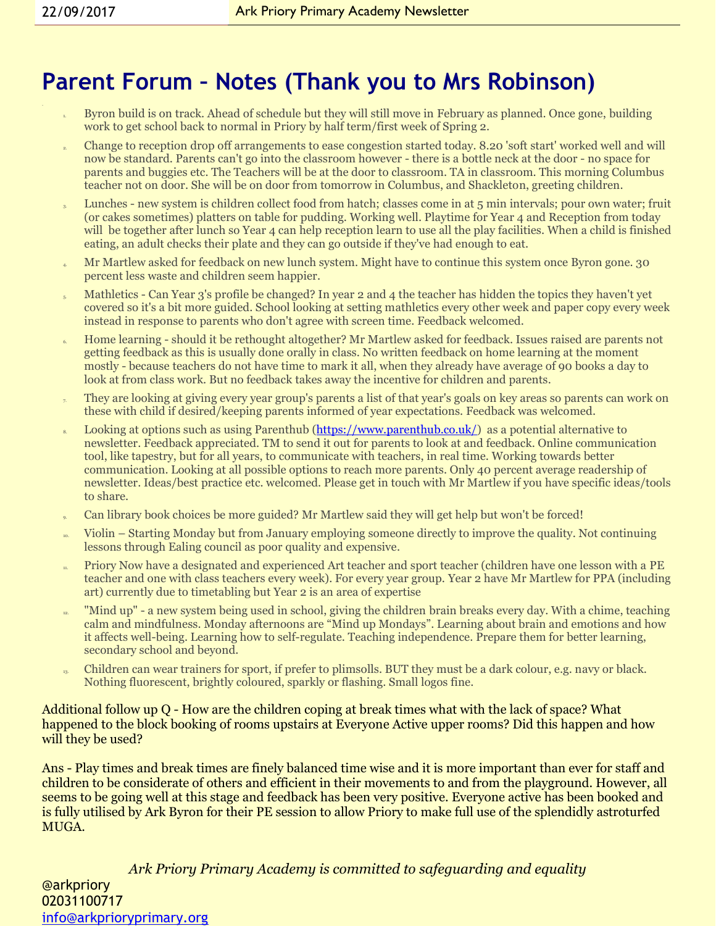# **Parent Forum – Notes (Thank you to Mrs Robinson)**

- 1. Byron build is on track. Ahead of schedule but they will still move in February as planned. Once gone, building work to get school back to normal in Priory by half term/first week of Spring 2.
- 2. Change to reception drop off arrangements to ease congestion started today. 8.20 'soft start' worked well and will now be standard. Parents can't go into the classroom however - there is a bottle neck at the door - no space for parents and buggies etc. The Teachers will be at the door to classroom. TA in classroom. This morning Columbus teacher not on door. She will be on door from tomorrow in Columbus, and Shackleton, greeting children.
- Lunches new system is children collect food from hatch; classes come in at 5 min intervals; pour own water; fruit (or cakes sometimes) platters on table for pudding. Working well. Playtime for Year 4 and Reception from today will be together after lunch so Year 4 can help reception learn to use all the play facilities. When a child is finished eating, an adult checks their plate and they can go outside if they've had enough to eat.
- 4. Mr Martlew asked for feedback on new lunch system. Might have to continue this system once Byron gone. 30 percent less waste and children seem happier.
- Mathletics Can Year 3's profile be changed? In year 2 and 4 the teacher has hidden the topics they haven't yet covered so it's a bit more guided. School looking at setting mathletics every other week and paper copy every week instead in response to parents who don't agree with screen time. Feedback welcomed.
- 6. Home learning should it be rethought altogether? Mr Martlew asked for feedback. Issues raised are parents not getting feedback as this is usually done orally in class. No written feedback on home learning at the moment mostly - because teachers do not have time to mark it all, when they already have average of 90 books a day to look at from class work. But no feedback takes away the incentive for children and parents.
- They are looking at giving every year group's parents a list of that year's goals on key areas so parents can work on these with child if desired/keeping parents informed of year expectations. Feedback was welcomed.
- Looking at options such as using Parenthub [\(https://www.parenthub.co.uk/\)](https://www.parenthub.co.uk/) as a potential alternative to newsletter. Feedback appreciated. TM to send it out for parents to look at and feedback. Online communication tool, like tapestry, but for all years, to communicate with teachers, in real time. Working towards better communication. Looking at all possible options to reach more parents. Only 40 percent average readership of newsletter. Ideas/best practice etc. welcomed. Please get in touch with Mr Martlew if you have specific ideas/tools to share.
- 9. Can library book choices be more guided? Mr Martlew said they will get help but won't be forced!
- 10. Violin Starting Monday but from January employing someone directly to improve the quality. Not continuing lessons through Ealing council as poor quality and expensive.
- 11. Priory Now have a designated and experienced Art teacher and sport teacher (children have one lesson with a PE teacher and one with class teachers every week). For every year group. Year 2 have Mr Martlew for PPA (including art) currently due to timetabling but Year 2 is an area of expertise
- <sup>12</sup>. "Mind up" a new system being used in school, giving the children brain breaks every day. With a chime, teaching calm and mindfulness. Monday afternoons are "Mind up Mondays". Learning about brain and emotions and how it affects well-being. Learning how to self-regulate. Teaching independence. Prepare them for better learning, secondary school and beyond.
- <sup>13</sup>. Children can wear trainers for sport, if prefer to plimsolls. BUT they must be a dark colour, e.g. navy or black. Nothing fluorescent, brightly coloured, sparkly or flashing. Small logos fine.

#### Additional follow up Q - How are the children coping at break times what with the lack of space? What happened to the block booking of rooms upstairs at Everyone Active upper rooms? Did this happen and how will they be used?

Ans - Play times and break times are finely balanced time wise and it is more important than ever for staff and children to be considerate of others and efficient in their movements to and from the playground. However, all seems to be going well at this stage and feedback has been very positive. Everyone active has been booked and is fully utilised by Ark Byron for their PE session to allow Priory to make full use of the splendidly astroturfed MUGA.

*Ark Priory Primary Academy is committed to safeguarding and equality*  @arkpriory 02031100717 [info@arkprioryprimary.org](mailto:info@arkprioryprimary.org)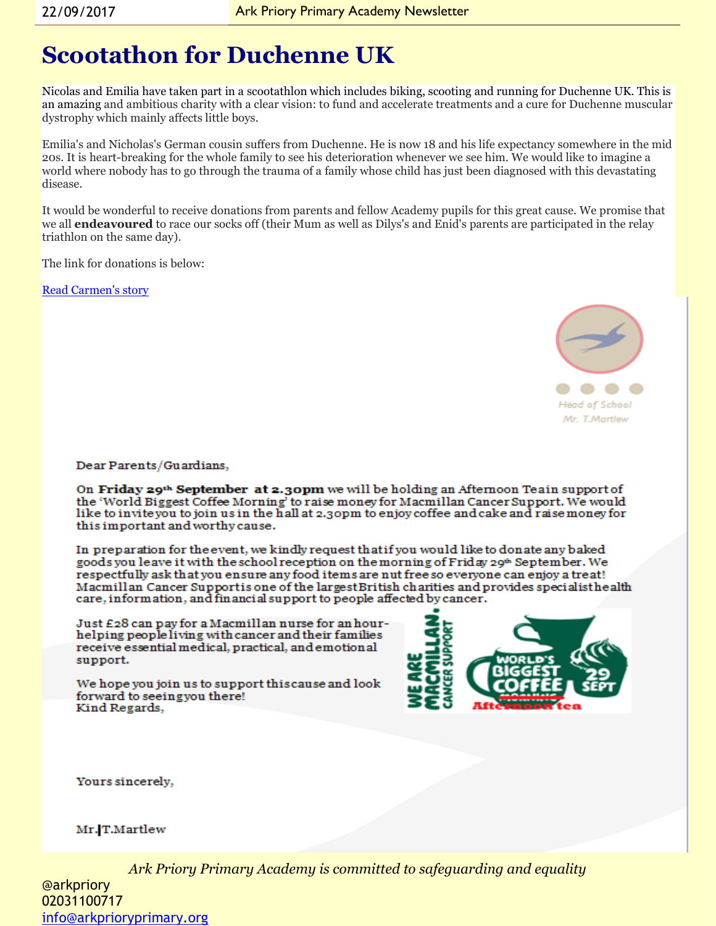# **Scootathon for Duchenne UK**

Nicolas and Emilia have taken part in a scootathlon which includes biking, scooting and running for Duchenne UK. This is an amazing and ambitious charity with a clear vision: to fund and accelerate treatments and a cure for Duchenne muscular dystrophy which mainly affects little boys.

Emilia's and Nicholas's German cousin suffers from Duchenne. He is now 18 and his life expectancy somewhere in the mid 20s. It is heart-breaking for the whole family to see his deterioration whenever we see him. We would like to imagine a world where nobody has to go through the trauma of a family whose child has just been diagnosed with this devastating disease.

It would be wonderful to receive donations from parents and fellow Academy pupils for this great cause. We promise that we all **endeavoured** to race our socks off (their Mum as well as Dilys's and Enid's parents are participated in the relay triathlon on the same day).

The link for donations is below:

[Read Carmen's story](https://www.justgiving.com/fundraising/carmen-prem)



Dear Parents/Guardians,

On Friday 29th September at 2.30pm we will be holding an Afternoon Teain support of the 'World Biggest Coffee Morning' to raise money for Macmillan Cancer Support. We would like to inviteyou to join us in the hall at 2,30pm to enjoy coffee and cake and raise money for this important and worthy cause.

In preparation for the event, we kindly request that if you would like to donate any baked goods you leave it with the school reception on the morning of Friday 29<sup>th</sup> September. We respectfully ask that you ensure any food items are nut free so everyone can enjoy a treat! Macmillan Cancer Supportis one of the largest British charities and provides specialisthe alth<br>care, information, and financial support to people affected by cancer.

Just £28 can pay for a Macmillan nurse for an hourhelping people living with cancer and their families receive essential medical, practical, and emotional support.

We hope you join us to support this cause and look forward to seeingyou there! Kind Regards,



Yours sincerely,

#### Mr. T.Martlew

*Ark Priory Primary Academy is committed to safeguarding and equality* 

@arkpriory 02031100717 [info@arkprioryprimary.org](mailto:info@arkprioryprimary.org)